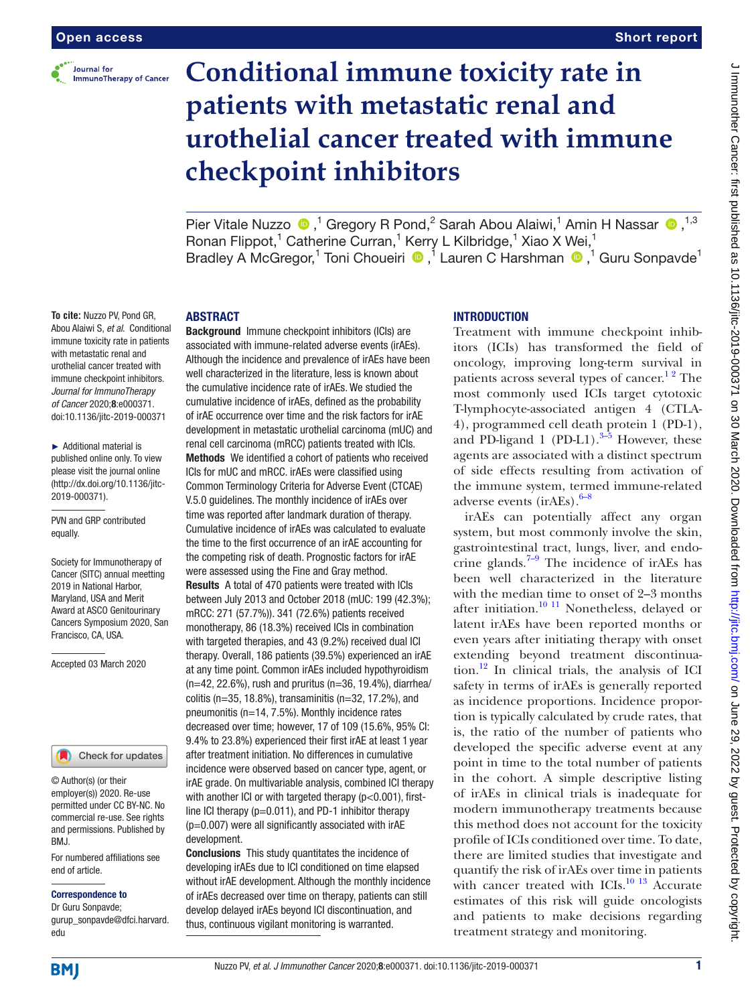

# **Conditional immune toxicity rate in patients with metastatic renal and urothelial cancer treated with immune checkpoint inhibitors**

PierVitale Nuzzo  $\bullet$ ,<sup>1</sup> Gregory R Pond,<sup>2</sup> Sarah Abou Alaiwi,<sup>1</sup> Amin H Nassar  $\bullet$ ,<sup>1,3</sup> Ronan Flippot,<sup>1</sup> Catherine Curran,<sup>1</sup> Kerry L Kilbridge,<sup>1</sup> Xiao X Wei,<sup>1</sup> BradleyA McGregor,<sup>1</sup> Toni Choueiri <sup>®</sup>,<sup>1</sup> Lauren C Harshman <sup>®</sup>,<sup>1</sup> Guru Sonpavde<sup>1</sup>

#### **ABSTRACT**

**To cite:** Nuzzo PV, Pond GR, Abou Alaiwi S, *et al*. Conditional immune toxicity rate in patients with metastatic renal and urothelial cancer treated with immune checkpoint inhibitors. *Journal for ImmunoTherapy of Cancer* 2020;8:e000371. doi:10.1136/jitc-2019-000371

► Additional material is published online only. To view please visit the journal online (http://dx.doi.org/10.1136/jitc-2019-000371).

PVN and GRP contributed equally.

Society for Immunotherapy of Cancer (SITC) annual meetting 2019 in National Harbor, Maryland, USA and Merit Award at ASCO Genitourinary Cancers Symposium 2020, San Francisco, CA, USA.

Accepted 03 March 2020

#### Check for updates

© Author(s) (or their employer(s)) 2020. Re-use permitted under CC BY-NC. No commercial re-use. See rights and permissions. Published by BMJ.

For numbered affiliations see end of article.

#### Correspondence to

Dr Guru Sonpavde; gurup\_sonpavde@dfci.harvard. edu

Background Immune checkpoint inhibitors (ICIs) are associated with immune-related adverse events (irAEs). Although the incidence and prevalence of irAEs have been well characterized in the literature, less is known about the cumulative incidence rate of irAEs. We studied the cumulative incidence of irAEs, defined as the probability of irAE occurrence over time and the risk factors for irAE development in metastatic urothelial carcinoma (mUC) and renal cell carcinoma (mRCC) patients treated with ICIs. Methods We identified a cohort of patients who received ICIs for mUC and mRCC. irAEs were classified using Common Terminology Criteria for Adverse Event (CTCAE) V.5.0 guidelines. The monthly incidence of irAEs over time was reported after landmark duration of therapy. Cumulative incidence of irAEs was calculated to evaluate the time to the first occurrence of an irAE accounting for the competing risk of death. Prognostic factors for irAE were assessed using the Fine and Gray method. Results A total of 470 patients were treated with ICIs between July 2013 and October 2018 (mUC: 199 (42.3%); mRCC: 271 (57.7%)). 341 (72.6%) patients received monotherapy, 86 (18.3%) received ICIs in combination with targeted therapies, and 43 (9.2%) received dual ICI therapy. Overall, 186 patients (39.5%) experienced an irAE at any time point. Common irAEs included hypothyroidism (n=42, 22.6%), rush and pruritus (n=36, 19.4%), diarrhea/ colitis (n=35, 18.8%), transaminitis (n=32, 17.2%), and pneumonitis (n=14, 7.5%). Monthly incidence rates decreased over time; however, 17 of 109 (15.6%, 95% CI: 9.4% to 23.8%) experienced their first irAE at least 1 year after treatment initiation. No differences in cumulative incidence were observed based on cancer type, agent, or irAE grade. On multivariable analysis, combined ICI therapy with another ICI or with targeted therapy (p<0.001), firstline ICI therapy  $(p=0.011)$ , and PD-1 inhibitor therapy (p=0.007) were all significantly associated with irAE development.

Conclusions This study quantitates the incidence of developing irAEs due to ICI conditioned on time elapsed without irAE development. Although the monthly incidence of irAEs decreased over time on therapy, patients can still develop delayed irAEs beyond ICI discontinuation, and thus, continuous vigilant monitoring is warranted.

#### **INTRODUCTION**

Treatment with immune checkpoint inhibitors (ICIs) has transformed the field of oncology, improving long-term survival in patients across several types of cancer.<sup>12</sup> The most commonly used ICIs target cytotoxic T-lymphocyte-associated antigen 4 (CTLA-4), programmed cell death protein 1 (PD-1), and PD-ligand 1 (PD-L1). $3-5$  However, these agents are associated with a distinct spectrum of side effects resulting from activation of the immune system, termed immune-related adverse events  $(irAEs)$ .  $6-8$ 

irAEs can potentially affect any organ system, but most commonly involve the skin, gastrointestinal tract, lungs, liver, and endocrine glands. $7-9$  The incidence of irAEs has been well characterized in the literature with the median time to onset of 2–3 months after initiation. $10^{-11}$  Nonetheless, delayed or latent irAEs have been reported months or even years after initiating therapy with onset extending beyond treatment discontinuation. $^{12}$  $^{12}$  $^{12}$  In clinical trials, the analysis of ICI safety in terms of irAEs is generally reported as incidence proportions. Incidence proportion is typically calculated by crude rates, that is, the ratio of the number of patients who developed the specific adverse event at any point in time to the total number of patients in the cohort. A simple descriptive listing of irAEs in clinical trials is inadequate for modern immunotherapy treatments because this method does not account for the toxicity profile of ICIs conditioned over time. To date, there are limited studies that investigate and quantify the risk of irAEs over time in patients with cancer treated with ICIs. $^{10}$  13 Accurate estimates of this risk will guide oncologists and patients to make decisions regarding treatment strategy and monitoring.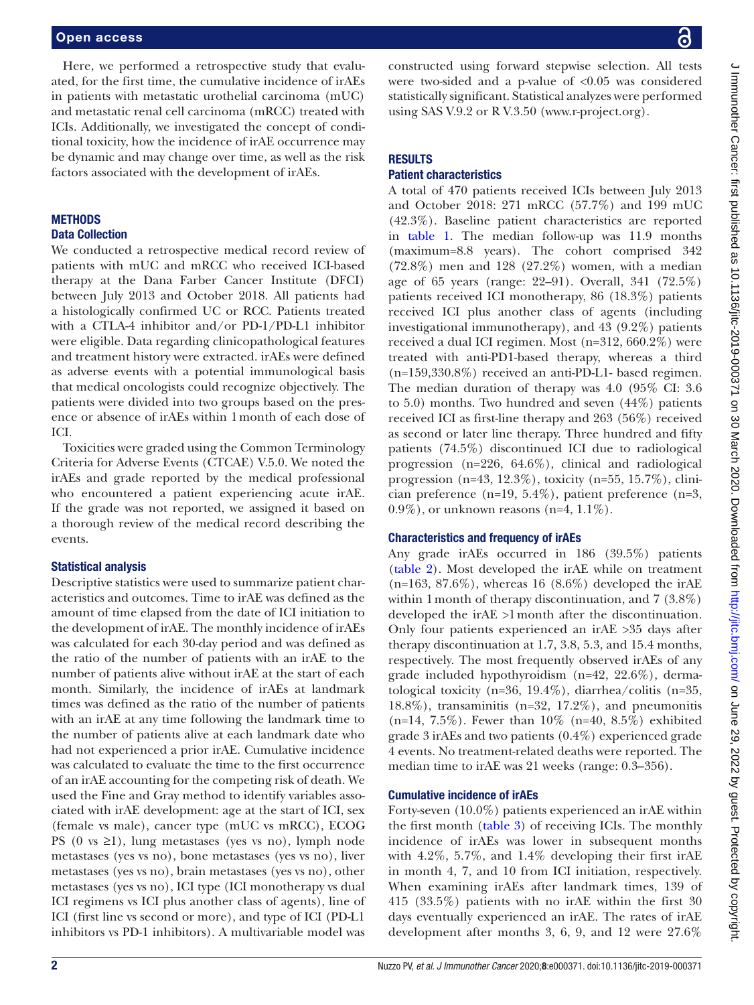Here, we performed a retrospective study that evaluated, for the first time, the cumulative incidence of irAEs in patients with metastatic urothelial carcinoma (mUC) and metastatic renal cell carcinoma (mRCC) treated with ICIs. Additionally, we investigated the concept of conditional toxicity, how the incidence of irAE occurrence may be dynamic and may change over time, as well as the risk factors associated with the development of irAEs.

# **METHODS**

# Data Collection

We conducted a retrospective medical record review of patients with mUC and mRCC who received ICI-based therapy at the Dana Farber Cancer Institute (DFCI) between July 2013 and October 2018. All patients had a histologically confirmed UC or RCC. Patients treated with a CTLA-4 inhibitor and/or PD-1/PD-L1 inhibitor were eligible. Data regarding clinicopathological features and treatment history were extracted. irAEs were defined as adverse events with a potential immunological basis that medical oncologists could recognize objectively. The patients were divided into two groups based on the presence or absence of irAEs within 1month of each dose of ICI.

Toxicities were graded using the Common Terminology Criteria for Adverse Events (CTCAE) V.5.0. We noted the irAEs and grade reported by the medical professional who encountered a patient experiencing acute irAE. If the grade was not reported, we assigned it based on a thorough review of the medical record describing the events.

### Statistical analysis

Descriptive statistics were used to summarize patient characteristics and outcomes. Time to irAE was defined as the amount of time elapsed from the date of ICI initiation to the development of irAE. The monthly incidence of irAEs was calculated for each 30-day period and was defined as the ratio of the number of patients with an irAE to the number of patients alive without irAE at the start of each month. Similarly, the incidence of irAEs at landmark times was defined as the ratio of the number of patients with an irAE at any time following the landmark time to the number of patients alive at each landmark date who had not experienced a prior irAE. Cumulative incidence was calculated to evaluate the time to the first occurrence of an irAE accounting for the competing risk of death. We used the Fine and Gray method to identify variables associated with irAE development: age at the start of ICI, sex (female vs male), cancer type (mUC vs mRCC), ECOG PS  $(0 \text{ vs } \geq 1)$ , lung metastases (yes vs no), lymph node metastases (yes vs no), bone metastases (yes vs no), liver metastases (yes vs no), brain metastases (yes vs no), other metastases (yes vs no), ICI type (ICI monotherapy vs dual ICI regimens vs ICI plus another class of agents), line of ICI (first line vs second or more), and type of ICI (PD-L1 inhibitors vs PD-1 inhibitors). A multivariable model was

constructed using forward stepwise selection. All tests were two-sided and a p-value of <0.05 was considered statistically significant. Statistical analyzes were performed using SAS V.9.2 or R V.3.50 (<www.r-project.org>).

# **RESULTS**

# Patient characteristics

A total of 470 patients received ICIs between July 2013 and October 2018: 271 mRCC (57.7%) and 199 mUC (42.3%). Baseline patient characteristics are reported in [table](#page-2-0) 1. The median follow-up was 11.9 months (maximum=8.8 years). The cohort comprised 342 (72.8%) men and 128 (27.2%) women, with a median age of 65 years (range: 22–91). Overall, 341 (72.5%) patients received ICI monotherapy, 86 (18.3%) patients received ICI plus another class of agents (including investigational immunotherapy), and 43 (9.2%) patients received a dual ICI regimen. Most (n=312, 660.2%) were treated with anti-PD1-based therapy, whereas a third (n=159,330.8%) received an anti-PD-L1- based regimen. The median duration of therapy was 4.0 (95% CI: 3.6 to 5.0) months. Two hundred and seven (44%) patients received ICI as first-line therapy and 263 (56%) received as second or later line therapy. Three hundred and fifty patients (74.5%) discontinued ICI due to radiological progression (n=226, 64.6%), clinical and radiological progression (n=43, 12.3%), toxicity (n=55, 15.7%), clinician preference (n=19, 5.4%), patient preference (n=3,  $0.9\%$ ), or unknown reasons (n=4,  $1.1\%$ ).

# Characteristics and frequency of irAEs

Any grade irAEs occurred in 186 (39.5%) patients [\(table](#page-3-0) 2). Most developed the irAE while on treatment  $(n=163, 87.6\%)$ , whereas 16  $(8.6\%)$  developed the irAE within 1month of therapy discontinuation, and 7 (3.8%) developed the irAE >1month after the discontinuation. Only four patients experienced an irAE >35 days after therapy discontinuation at 1.7, 3.8, 5.3, and 15.4 months, respectively. The most frequently observed irAEs of any grade included hypothyroidism (n=42, 22.6%), dermatological toxicity (n=36, 19.4%), diarrhea/colitis (n=35,  $18.8\%$ ), transaminitis (n=32, 17.2%), and pneumonitis (n=14, 7.5%). Fewer than 10% (n=40, 8.5%) exhibited grade 3 irAEs and two patients (0.4%) experienced grade 4 events. No treatment-related deaths were reported. The median time to irAE was 21 weeks (range: 0.3–356).

# Cumulative incidence of irAEs

Forty-seven (10.0%) patients experienced an irAE within the first month [\(table](#page-3-1) 3) of receiving ICIs. The monthly incidence of irAEs was lower in subsequent months with 4.2%, 5.7%, and 1.4% developing their first irAE in month 4, 7, and 10 from ICI initiation, respectively. When examining irAEs after landmark times, 139 of 415 (33.5%) patients with no irAE within the first 30 days eventually experienced an irAE. The rates of irAE development after months 3, 6, 9, and 12 were 27.6%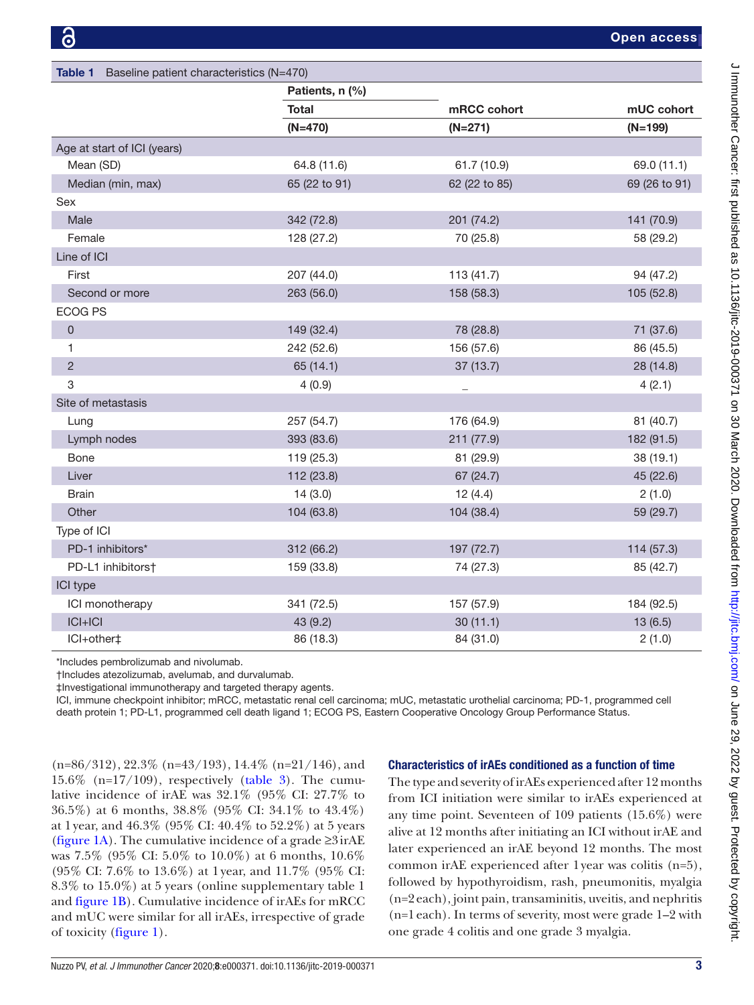<span id="page-2-0"></span>

| <b>Table 1</b><br>Baseline patient characteristics (N=470) |                 |               |               |  |  |  |  |
|------------------------------------------------------------|-----------------|---------------|---------------|--|--|--|--|
|                                                            | Patients, n (%) |               |               |  |  |  |  |
|                                                            | <b>Total</b>    | mRCC cohort   | mUC cohort    |  |  |  |  |
|                                                            | $(N=470)$       | $(N=271)$     | $(N=199)$     |  |  |  |  |
| Age at start of ICI (years)                                |                 |               |               |  |  |  |  |
| Mean (SD)                                                  | 64.8 (11.6)     | 61.7 (10.9)   | 69.0 (11.1)   |  |  |  |  |
| Median (min, max)                                          | 65 (22 to 91)   | 62 (22 to 85) | 69 (26 to 91) |  |  |  |  |
| Sex                                                        |                 |               |               |  |  |  |  |
| Male                                                       | 342 (72.8)      | 201 (74.2)    | 141 (70.9)    |  |  |  |  |
| Female                                                     | 128 (27.2)      | 70 (25.8)     | 58 (29.2)     |  |  |  |  |
| Line of ICI                                                |                 |               |               |  |  |  |  |
| First                                                      | 207 (44.0)      | 113 (41.7)    | 94 (47.2)     |  |  |  |  |
| Second or more                                             | 263 (56.0)      | 158 (58.3)    | 105 (52.8)    |  |  |  |  |
| <b>ECOG PS</b>                                             |                 |               |               |  |  |  |  |
| $\mathsf{O}\xspace$                                        | 149 (32.4)      | 78 (28.8)     | 71 (37.6)     |  |  |  |  |
| 1                                                          | 242 (52.6)      | 156 (57.6)    | 86 (45.5)     |  |  |  |  |
| $\sqrt{2}$                                                 | 65 (14.1)       | 37(13.7)      | 28 (14.8)     |  |  |  |  |
| $\mathsf 3$                                                | 4(0.9)          |               | 4(2.1)        |  |  |  |  |
| Site of metastasis                                         |                 |               |               |  |  |  |  |
| Lung                                                       | 257 (54.7)      | 176 (64.9)    | 81 (40.7)     |  |  |  |  |
| Lymph nodes                                                | 393 (83.6)      | 211 (77.9)    | 182 (91.5)    |  |  |  |  |
| Bone                                                       | 119 (25.3)      | 81 (29.9)     | 38 (19.1)     |  |  |  |  |
| Liver                                                      | 112 (23.8)      | 67 (24.7)     | 45 (22.6)     |  |  |  |  |
| <b>Brain</b>                                               | 14(3.0)         | 12(4.4)       | 2(1.0)        |  |  |  |  |
| Other                                                      | 104 (63.8)      | 104 (38.4)    | 59 (29.7)     |  |  |  |  |
| Type of ICI                                                |                 |               |               |  |  |  |  |
| PD-1 inhibitors*                                           | 312 (66.2)      | 197 (72.7)    | 114 (57.3)    |  |  |  |  |
| PD-L1 inhibitors†                                          | 159 (33.8)      | 74 (27.3)     | 85 (42.7)     |  |  |  |  |
| ICI type                                                   |                 |               |               |  |  |  |  |
| ICI monotherapy                                            | 341 (72.5)      | 157 (57.9)    | 184 (92.5)    |  |  |  |  |
| $ C + C $                                                  | 43 (9.2)        | 30(11.1)      | 13(6.5)       |  |  |  |  |
| ICI+other‡                                                 | 86 (18.3)       | 84 (31.0)     | 2(1.0)        |  |  |  |  |

\*Includes pembrolizumab and nivolumab.

†Includes atezolizumab, avelumab, and durvalumab.

‡Investigational immunotherapy and targeted therapy agents.

ICI, immune checkpoint inhibitor; mRCC, metastatic renal cell carcinoma; mUC, metastatic urothelial carcinoma; PD-1, programmed cell death protein 1; PD-L1, programmed cell death ligand 1; ECOG PS, Eastern Cooperative Oncology Group Performance Status.

 $(n=86/312)$ , 22.3%  $(n=43/193)$ , 14.4%  $(n=21/146)$ , and  $15.6\%$  (n= $17/109$ ), respectively ([table](#page-3-1) 3). The cumulative incidence of irAE was 32.1% (95% CI: 27.7% to 36.5%) at 6 months, 38.8% (95% CI: 34.1% to 43.4%) at 1 year, and 46.3% (95% CI: 40.4% to 52.2%) at 5 years ([figure](#page-4-0) 1A). The cumulative incidence of a grade  $\geq 3$  irAE was 7.5% (95% CI: 5.0% to 10.0%) at 6 months, 10.6% (95% CI: 7.6% to 13.6%) at 1 year, and 11.7% (95% CI: 8.3% to 15.0%) at 5 years [\(online supplementary table 1](https://dx.doi.org/10.1136/jitc-2019-000371) and [figure](#page-4-0) 1B). Cumulative incidence of irAEs for mRCC and mUC were similar for all irAEs, irrespective of grade of toxicity [\(figure](#page-4-0) 1).

# Characteristics of irAEs conditioned as a function of time

The type and severity of irAEs experienced after 12 months from ICI initiation were similar to irAEs experienced at any time point. Seventeen of 109 patients (15.6%) were alive at 12 months after initiating an ICI without irAE and later experienced an irAE beyond 12 months. The most common irAE experienced after 1year was colitis (n=5), followed by hypothyroidism, rash, pneumonitis, myalgia (n=2each), joint pain, transaminitis, uveitis, and nephritis (n=1each). In terms of severity, most were grade 1–2 with one grade 4 colitis and one grade 3 myalgia.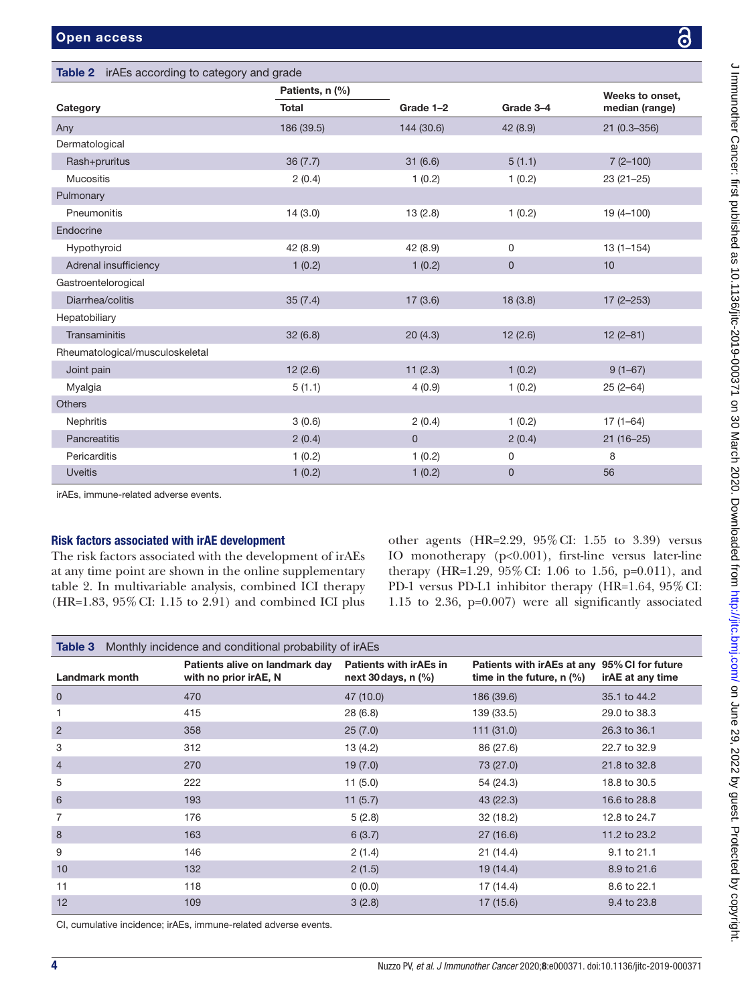<span id="page-3-0"></span>Table 2 irAEs according to category and grade

|                                 | Patients, n (%) |             |                  | Weeks to onset, |  |
|---------------------------------|-----------------|-------------|------------------|-----------------|--|
| Category                        | <b>Total</b>    | Grade 1-2   | Grade 3-4        | median (range)  |  |
| Any                             | 186 (39.5)      | 144 (30.6)  | 42(8.9)          | $21(0.3 - 356)$ |  |
| Dermatological                  |                 |             |                  |                 |  |
| Rash+pruritus                   | 36(7.7)         | 31(6.6)     | 5(1.1)           | $7(2-100)$      |  |
| <b>Mucositis</b>                | 2(0.4)          | 1(0.2)      | 1(0.2)           | $23(21-25)$     |  |
| Pulmonary                       |                 |             |                  |                 |  |
| Pneumonitis                     | 14(3.0)         | 13(2.8)     | 1(0.2)           | $19(4 - 100)$   |  |
| Endocrine                       |                 |             |                  |                 |  |
| Hypothyroid                     | 42 (8.9)        | 42 (8.9)    | 0                | $13(1 - 154)$   |  |
| Adrenal insufficiency           | 1(0.2)          | 1(0.2)      | $\mathbf 0$      | 10              |  |
| Gastroentelorogical             |                 |             |                  |                 |  |
| Diarrhea/colitis                | 35(7.4)         | 17(3.6)     | 18(3.8)          | $17(2 - 253)$   |  |
| Hepatobiliary                   |                 |             |                  |                 |  |
| Transaminitis                   | 32(6.8)         | 20(4.3)     | 12(2.6)          | $12(2-81)$      |  |
| Rheumatological/musculoskeletal |                 |             |                  |                 |  |
| Joint pain                      | 12(2.6)         | 11(2.3)     | 1(0.2)           | $9(1-67)$       |  |
| Myalgia                         | 5(1.1)          | 4(0.9)      | 1(0.2)           | $25(2-64)$      |  |
| <b>Others</b>                   |                 |             |                  |                 |  |
| Nephritis                       | 3(0.6)          | 2(0.4)      | 1(0.2)           | $17(1 - 64)$    |  |
| Pancreatitis                    | 2(0.4)          | $\mathbf 0$ | 2(0.4)           | $21(16-25)$     |  |
| Pericarditis                    | 1(0.2)          | 1(0.2)      | $\boldsymbol{0}$ | 8               |  |
| <b>Uveitis</b>                  | 1(0.2)          | 1(0.2)      | $\mathbf 0$      | 56              |  |

## Risk factors associated with irAE development

The risk factors associated with the development of irAEs at any time point are shown in the [online supplementary](https://dx.doi.org/10.1136/jitc-2019-000371) [table 2.](https://dx.doi.org/10.1136/jitc-2019-000371) In multivariable analysis, combined ICI therapy (HR=1.83, 95%CI: 1.15 to 2.91) and combined ICI plus

other agents (HR=2.29, 95%CI: 1.55 to 3.39) versus IO monotherapy (p<0.001), first-line versus later-line therapy (HR=1.29, 95%CI: 1.06 to 1.56, p=0.011), and PD-1 versus PD-L1 inhibitor therapy (HR=1.64, 95% CI: 1.15 to 2.36, p=0.007) were all significantly associated

<span id="page-3-1"></span>

| Monthly incidence and conditional probability of irAEs<br>Table 3 |                                                         |                                                        |                                                           |                                       |  |  |  |  |
|-------------------------------------------------------------------|---------------------------------------------------------|--------------------------------------------------------|-----------------------------------------------------------|---------------------------------------|--|--|--|--|
| <b>Landmark month</b>                                             | Patients alive on landmark day<br>with no prior irAE, N | <b>Patients with irAEs in</b><br>next 30 days, $n$ (%) | Patients with irAEs at any<br>time in the future, $n$ (%) | 95% CI for future<br>irAE at any time |  |  |  |  |
| $\mathbf 0$                                                       | 470                                                     | 47 (10.0)                                              | 186 (39.6)                                                | 35.1 to 44.2                          |  |  |  |  |
| 1                                                                 | 415                                                     | 28 (6.8)                                               | 139 (33.5)                                                | 29.0 to 38.3                          |  |  |  |  |
| $\overline{2}$                                                    | 358                                                     | 25(7.0)                                                | 111(31.0)                                                 | 26.3 to 36.1                          |  |  |  |  |
| 3                                                                 | 312                                                     | 13(4.2)                                                | 86 (27.6)                                                 | 22.7 to 32.9                          |  |  |  |  |
| $\overline{4}$                                                    | 270                                                     | 19(7.0)                                                | 73 (27.0)                                                 | 21.8 to 32.8                          |  |  |  |  |
| 5                                                                 | 222                                                     | 11(5.0)                                                | 54 (24.3)                                                 | 18.8 to 30.5                          |  |  |  |  |
| 6                                                                 | 193                                                     | 11(5.7)                                                | 43(22.3)                                                  | 16.6 to 28.8                          |  |  |  |  |
| 7                                                                 | 176                                                     | 5(2.8)                                                 | 32(18.2)                                                  | 12.8 to 24.7                          |  |  |  |  |
| 8                                                                 | 163                                                     | 6(3.7)                                                 | 27(16.6)                                                  | 11.2 to 23.2                          |  |  |  |  |
| 9                                                                 | 146                                                     | 2(1.4)                                                 | 21(14.4)                                                  | 9.1 to 21.1                           |  |  |  |  |
| 10                                                                | 132                                                     | 2(1.5)                                                 | 19(14.4)                                                  | 8.9 to 21.6                           |  |  |  |  |
| 11                                                                | 118                                                     | 0(0.0)                                                 | 17 (14.4)                                                 | 8.6 to 22.1                           |  |  |  |  |
| 12                                                                | 109                                                     | 3(2.8)                                                 | 17(15.6)                                                  | 9.4 to 23.8                           |  |  |  |  |

CI, cumulative incidence; irAEs, immune-related adverse events.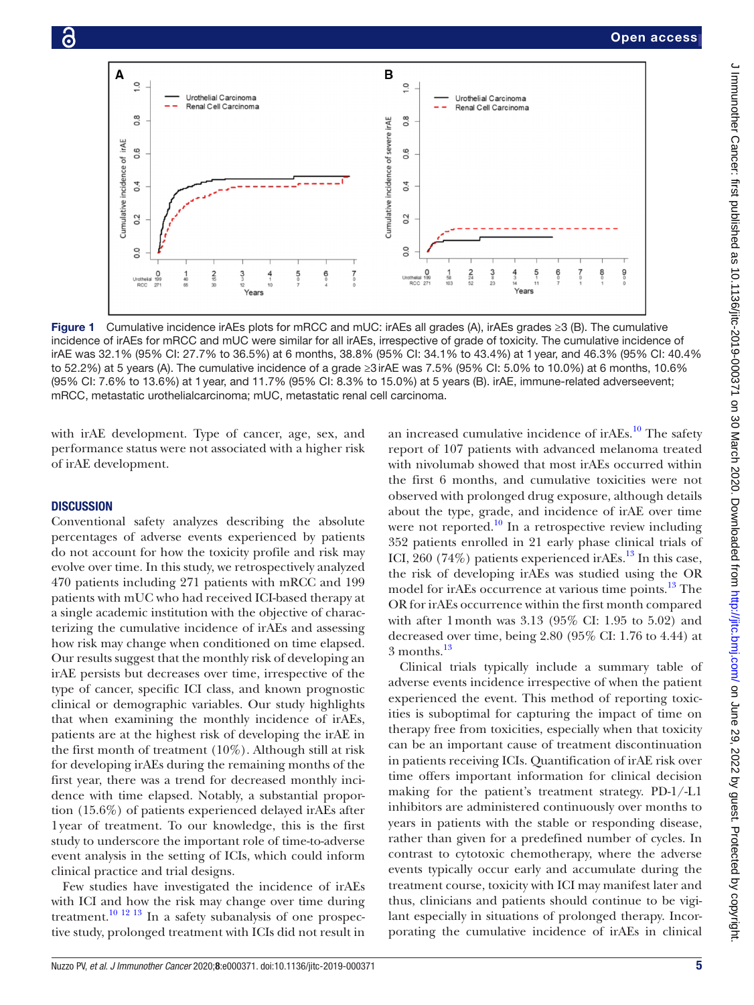

<span id="page-4-0"></span>Figure 1 Cumulative incidence irAEs plots for mRCC and mUC: irAEs all grades (A), irAEs grades ≥3 (B). The cumulative incidence of irAEs for mRCC and mUC were similar for all irAEs, irrespective of grade of toxicity. The cumulative incidence of irAE was 32.1% (95% CI: 27.7% to 36.5%) at 6 months, 38.8% (95% CI: 34.1% to 43.4%) at 1year, and 46.3% (95% CI: 40.4% to 52.2%) at 5 years (A). The cumulative incidence of a grade ≥3irAE was 7.5% (95% CI: 5.0% to 10.0%) at 6 months, 10.6% (95% CI: 7.6% to 13.6%) at 1year, and 11.7% (95% CI: 8.3% to 15.0%) at 5 years (B). irAE, immune-related adverseevent; mRCC, metastatic urothelialcarcinoma; mUC, metastatic renal cell carcinoma.

with irAE development. Type of cancer, age, sex, and performance status were not associated with a higher risk of irAE development.

#### **DISCUSSION**

Conventional safety analyzes describing the absolute percentages of adverse events experienced by patients do not account for how the toxicity profile and risk may evolve over time. In this study, we retrospectively analyzed 470 patients including 271 patients with mRCC and 199 patients with mUC who had received ICI-based therapy at a single academic institution with the objective of characterizing the cumulative incidence of irAEs and assessing how risk may change when conditioned on time elapsed. Our results suggest that the monthly risk of developing an irAE persists but decreases over time, irrespective of the type of cancer, specific ICI class, and known prognostic clinical or demographic variables. Our study highlights that when examining the monthly incidence of irAEs, patients are at the highest risk of developing the irAE in the first month of treatment (10%). Although still at risk for developing irAEs during the remaining months of the first year, there was a trend for decreased monthly incidence with time elapsed. Notably, a substantial proportion (15.6%) of patients experienced delayed irAEs after 1year of treatment. To our knowledge, this is the first study to underscore the important role of time-to-adverse event analysis in the setting of ICIs, which could inform clinical practice and trial designs.

Few studies have investigated the incidence of irAEs with ICI and how the risk may change over time during treatment.<sup>10 12 13</sup> In a safety subanalysis of one prospective study, prolonged treatment with ICIs did not result in

an increased cumulative incidence of ir $AEs$ .<sup>10</sup> The safety report of 107 patients with advanced melanoma treated with nivolumab showed that most irAEs occurred within the first 6 months, and cumulative toxicities were not observed with prolonged drug exposure, although details about the type, grade, and incidence of irAE over time were not reported. $\frac{10}{10}$  $\frac{10}{10}$  $\frac{10}{10}$  In a retrospective review including 352 patients enrolled in 21 early phase clinical trials of ICI, 260 (74%) patients experienced ir $AEs$ <sup>13</sup>. In this case, the risk of developing irAEs was studied using the OR model for irAEs occurrence at various time points.<sup>13</sup> The OR for irAEs occurrence within the first month compared with after 1month was 3.13 (95% CI: 1.95 to 5.02) and decreased over time, being 2.80 (95% CI: 1.76 to 4.44) at  $3$  months.<sup>[13](#page-6-6)</sup>

Clinical trials typically include a summary table of adverse events incidence irrespective of when the patient experienced the event. This method of reporting toxicities is suboptimal for capturing the impact of time on therapy free from toxicities, especially when that toxicity can be an important cause of treatment discontinuation in patients receiving ICIs. Quantification of irAE risk over time offers important information for clinical decision making for the patient's treatment strategy. PD-1/-L1 inhibitors are administered continuously over months to years in patients with the stable or responding disease, rather than given for a predefined number of cycles. In contrast to cytotoxic chemotherapy, where the adverse events typically occur early and accumulate during the treatment course, toxicity with ICI may manifest later and thus, clinicians and patients should continue to be vigilant especially in situations of prolonged therapy. Incorporating the cumulative incidence of irAEs in clinical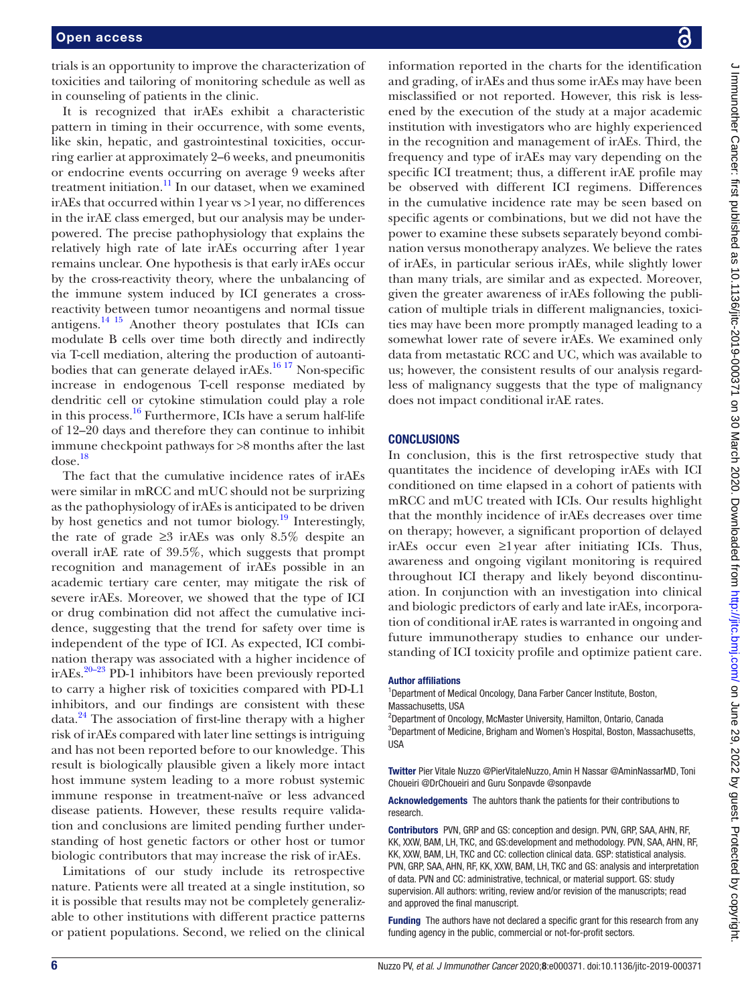trials is an opportunity to improve the characterization of toxicities and tailoring of monitoring schedule as well as in counseling of patients in the clinic.

It is recognized that irAEs exhibit a characteristic pattern in timing in their occurrence, with some events, like skin, hepatic, and gastrointestinal toxicities, occurring earlier at approximately 2–6 weeks, and pneumonitis or endocrine events occurring on average 9 weeks after treatment initiation. $11$  In our dataset, when we examined irAEs that occurred within 1year vs >1year, no differences in the irAE class emerged, but our analysis may be underpowered. The precise pathophysiology that explains the relatively high rate of late irAEs occurring after 1year remains unclear. One hypothesis is that early irAEs occur by the cross-reactivity theory, where the unbalancing of the immune system induced by ICI generates a crossreactivity between tumor neoantigens and normal tissue antigens.[14 15](#page-6-8) Another theory postulates that ICIs can modulate B cells over time both directly and indirectly via T-cell mediation, altering the production of autoantibodies that can generate delayed irAEs.<sup>16 17</sup> Non-specific increase in endogenous T-cell response mediated by dendritic cell or cytokine stimulation could play a role in this process.[16](#page-6-9) Furthermore, ICIs have a serum half-life of 12–20 days and therefore they can continue to inhibit immune checkpoint pathways for >8 months after the last  $dose.<sup>18</sup>$  $dose.<sup>18</sup>$  $dose.<sup>18</sup>$ 

The fact that the cumulative incidence rates of irAEs were similar in mRCC and mUC should not be surprizing as the pathophysiology of irAEs is anticipated to be driven by host genetics and not tumor biology.<sup>19</sup> Interestingly, the rate of grade  $\geq$ 3 irAEs was only 8.5% despite an overall irAE rate of 39.5%, which suggests that prompt recognition and management of irAEs possible in an academic tertiary care center, may mitigate the risk of severe irAEs. Moreover, we showed that the type of ICI or drug combination did not affect the cumulative incidence, suggesting that the trend for safety over time is independent of the type of ICI. As expected, ICI combination therapy was associated with a higher incidence of irAEs.<sup>[20–23](#page-6-12)</sup> PD-1 inhibitors have been previously reported to carry a higher risk of toxicities compared with PD-L1 inhibitors, and our findings are consistent with these data.<sup>24</sup> The association of first-line therapy with a higher risk of irAEs compared with later line settings is intriguing and has not been reported before to our knowledge. This result is biologically plausible given a likely more intact host immune system leading to a more robust systemic immune response in treatment-naïve or less advanced disease patients. However, these results require validation and conclusions are limited pending further understanding of host genetic factors or other host or tumor biologic contributors that may increase the risk of irAEs.

Limitations of our study include its retrospective nature. Patients were all treated at a single institution, so it is possible that results may not be completely generalizable to other institutions with different practice patterns or patient populations. Second, we relied on the clinical information reported in the charts for the identification and grading, of irAEs and thus some irAEs may have been misclassified or not reported. However, this risk is lessened by the execution of the study at a major academic institution with investigators who are highly experienced in the recognition and management of irAEs. Third, the frequency and type of irAEs may vary depending on the specific ICI treatment; thus, a different irAE profile may be observed with different ICI regimens. Differences in the cumulative incidence rate may be seen based on specific agents or combinations, but we did not have the power to examine these subsets separately beyond combination versus monotherapy analyzes. We believe the rates of irAEs, in particular serious irAEs, while slightly lower than many trials, are similar and as expected. Moreover, given the greater awareness of irAEs following the publication of multiple trials in different malignancies, toxicities may have been more promptly managed leading to a somewhat lower rate of severe irAEs. We examined only data from metastatic RCC and UC, which was available to us; however, the consistent results of our analysis regardless of malignancy suggests that the type of malignancy does not impact conditional irAE rates.

#### **CONCLUSIONS**

In conclusion, this is the first retrospective study that quantitates the incidence of developing irAEs with ICI conditioned on time elapsed in a cohort of patients with mRCC and mUC treated with ICIs. Our results highlight that the monthly incidence of irAEs decreases over time on therapy; however, a significant proportion of delayed irAEs occur even ≥1year after initiating ICIs. Thus, awareness and ongoing vigilant monitoring is required throughout ICI therapy and likely beyond discontinuation. In conjunction with an investigation into clinical and biologic predictors of early and late irAEs, incorporation of conditional irAE rates is warranted in ongoing and future immunotherapy studies to enhance our understanding of ICI toxicity profile and optimize patient care.

#### Author affiliations

<sup>1</sup>Department of Medical Oncology, Dana Farber Cancer Institute, Boston, Massachusetts, USA

<sup>2</sup>Department of Oncology, McMaster University, Hamilton, Ontario, Canada 3 Department of Medicine, Brigham and Women's Hospital, Boston, Massachusetts, USA

Twitter Pier Vitale Nuzzo [@PierVitaleNuzzo,](https://twitter.com/PierVitaleNuzzo) Amin H Nassar [@AminNassarMD](https://twitter.com/AminNassarMD), Toni Choueiri [@DrChoueiri](https://twitter.com/DrChoueiri) and Guru Sonpavde [@sonpavde](https://twitter.com/sonpavde)

Acknowledgements The auhtors thank the patients for their contributions to research.

Contributors PVN, GRP and GS: conception and design. PVN, GRP, SAA, AHN, RF, KK, XXW, BAM, LH, TKC, and GS:development and methodology. PVN, SAA, AHN, RF, KK, XXW, BAM, LH, TKC and CC: collection clinical data. GSP: statistical analysis. PVN, GRP, SAA, AHN, RF, KK, XXW, BAM, LH, TKC and GS: analysis and interpretation of data. PVN and CC: administrative, technical, or material support. GS: study supervision. All authors: writing, review and/or revision of the manuscripts; read and approved the final manuscript.

Funding The authors have not declared a specific grant for this research from any funding agency in the public, commercial or not-for-profit sectors.